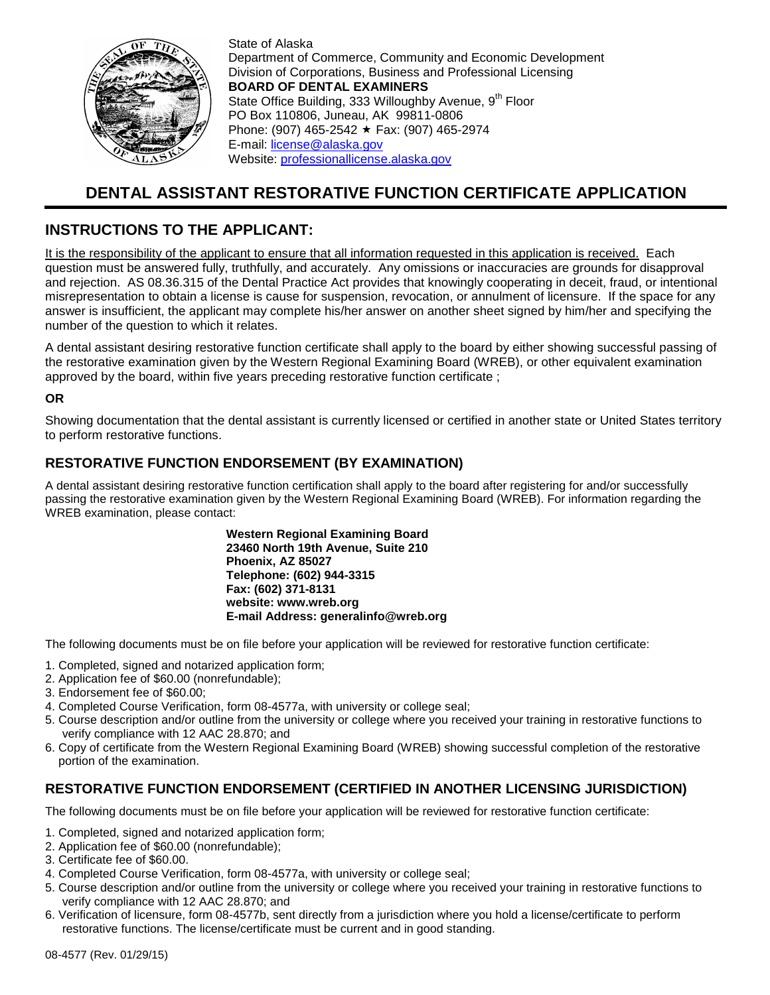

State of Alaska Department of Commerce, Community and Economic Development Division of Corporations, Business and Professional Licensing **BOARD OF DENTAL EXAMINERS** State Office Building, 333 Willoughby Avenue, 9<sup>th</sup> Floor PO Box 110806, Juneau, AK 99811-0806 Phone: (907) 465-2542 ★ Fax: (907) 465-2974 E-mail: [license@alaska.gov](mailto:license@alaska.gov) Website: [professionallicense.alaska.gov](http://professionallicense.alaska.gov/)

# **DENTAL ASSISTANT RESTORATIVE FUNCTION CERTIFICATE APPLICATION**

## **INSTRUCTIONS TO THE APPLICANT:**

It is the responsibility of the applicant to ensure that all information requested in this application is received. Each question must be answered fully, truthfully, and accurately. Any omissions or inaccuracies are grounds for disapproval and rejection. AS 08.36.315 of the Dental Practice Act provides that knowingly cooperating in deceit, fraud, or intentional misrepresentation to obtain a license is cause for suspension, revocation, or annulment of licensure. If the space for any answer is insufficient, the applicant may complete his/her answer on another sheet signed by him/her and specifying the number of the question to which it relates.

A dental assistant desiring restorative function certificate shall apply to the board by either showing successful passing of the restorative examination given by the Western Regional Examining Board (WREB), or other equivalent examination approved by the board, within five years preceding restorative function certificate ;

### **OR**

Showing documentation that the dental assistant is currently licensed or certified in another state or United States territory to perform restorative functions.

### **RESTORATIVE FUNCTION ENDORSEMENT (BY EXAMINATION)**

A dental assistant desiring restorative function certification shall apply to the board after registering for and/or successfully passing the restorative examination given by the Western Regional Examining Board (WREB). For information regarding the WREB examination, please contact:

> **Western Regional Examining Board 23460 North 19th Avenue, Suite 210 Phoenix, AZ 85027 Telephone: (602) 944-3315 Fax: (602) 371-8131 website: www.wreb.org E-mail Address: generalinfo@wreb.org**

The following documents must be on file before your application will be reviewed for restorative function certificate:

- 1. Completed, signed and notarized application form;
- 2. Application fee of \$60.00 (nonrefundable);
- 3. Endorsement fee of \$60.00;
- 4. Completed Course Verification, form 08-4577a, with university or college seal;
- 5. Course description and/or outline from the university or college where you received your training in restorative functions to verify compliance with 12 AAC 28.870; and
- 6. Copy of certificate from the Western Regional Examining Board (WREB) showing successful completion of the restorative portion of the examination.

## **RESTORATIVE FUNCTION ENDORSEMENT (CERTIFIED IN ANOTHER LICENSING JURISDICTION)**

The following documents must be on file before your application will be reviewed for restorative function certificate:

- 1. Completed, signed and notarized application form;
- 2. Application fee of \$60.00 (nonrefundable);
- 3. Certificate fee of \$60.00.
- 4. Completed Course Verification, form 08-4577a, with university or college seal;
- 5. Course description and/or outline from the university or college where you received your training in restorative functions to verify compliance with 12 AAC 28.870; and
- 6. Verification of licensure, form 08-4577b, sent directly from a jurisdiction where you hold a license/certificate to perform restorative functions. The license/certificate must be current and in good standing.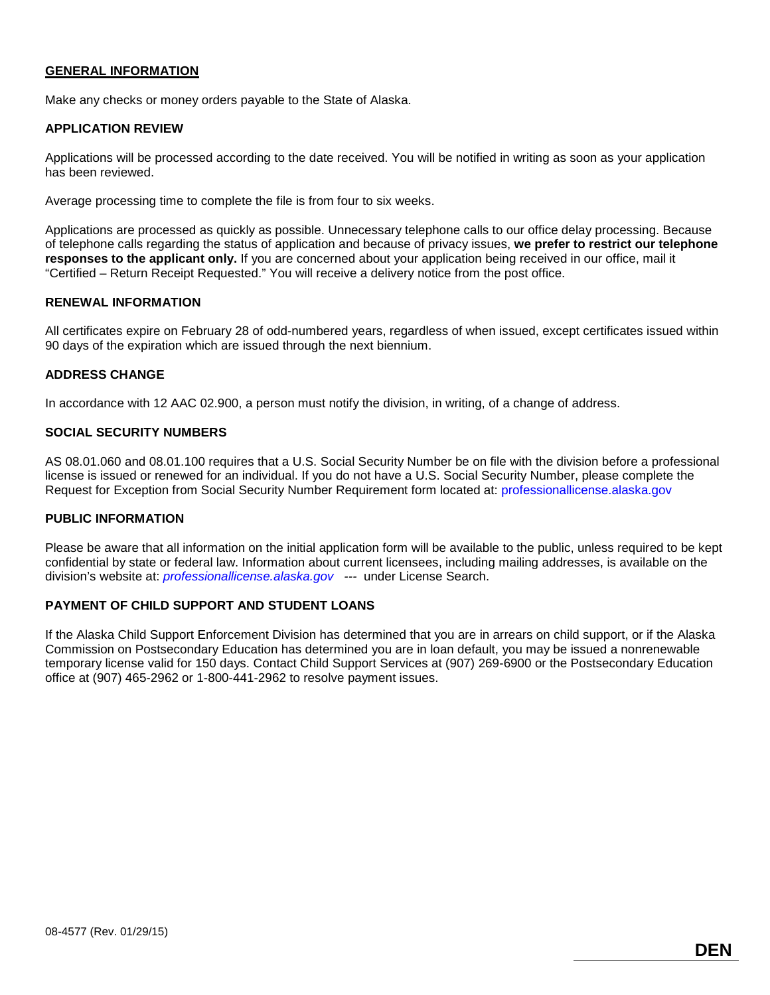### **GENERAL INFORMATION**

Make any checks or money orders payable to the State of Alaska.

### **APPLICATION REVIEW**

Applications will be processed according to the date received. You will be notified in writing as soon as your application has been reviewed.

Average processing time to complete the file is from four to six weeks.

Applications are processed as quickly as possible. Unnecessary telephone calls to our office delay processing. Because of telephone calls regarding the status of application and because of privacy issues, **we prefer to restrict our telephone responses to the applicant only.** If you are concerned about your application being received in our office, mail it "Certified – Return Receipt Requested." You will receive a delivery notice from the post office.

### **RENEWAL INFORMATION**

All certificates expire on February 28 of odd-numbered years, regardless of when issued, except certificates issued within 90 days of the expiration which are issued through the next biennium.

### **ADDRESS CHANGE**

In accordance with 12 AAC 02.900, a person must notify the division, in writing, of a change of address.

### **SOCIAL SECURITY NUMBERS**

AS 08.01.060 and 08.01.100 requires that a U.S. Social Security Number be on file with the division before a professional license is issued or renewed for an individual. If you do not have a U.S. Social Security Number, please complete the Request for Exception from Social Security Number Requirement form located at: [professionallicense.alaska.gov](http://professionallicense.alaska.gov/)

### **PUBLIC INFORMATION**

Please be aware that all information on the initial application form will be available to the public, unless required to be kept confidential by state or federal law. Information about current licensees, including mailing addresses, is available on the division's website at: *[professionallicense.alaska.gov](http://professionallicense.alaska.gov/) ---* under License Search.

### **PAYMENT OF CHILD SUPPORT AND STUDENT LOANS**

If the Alaska Child Support Enforcement Division has determined that you are in arrears on child support, or if the Alaska Commission on Postsecondary Education has determined you are in loan default, you may be issued a nonrenewable temporary license valid for 150 days. Contact Child Support Services at (907) 269-6900 or the Postsecondary Education office at (907) 465-2962 or 1-800-441-2962 to resolve payment issues.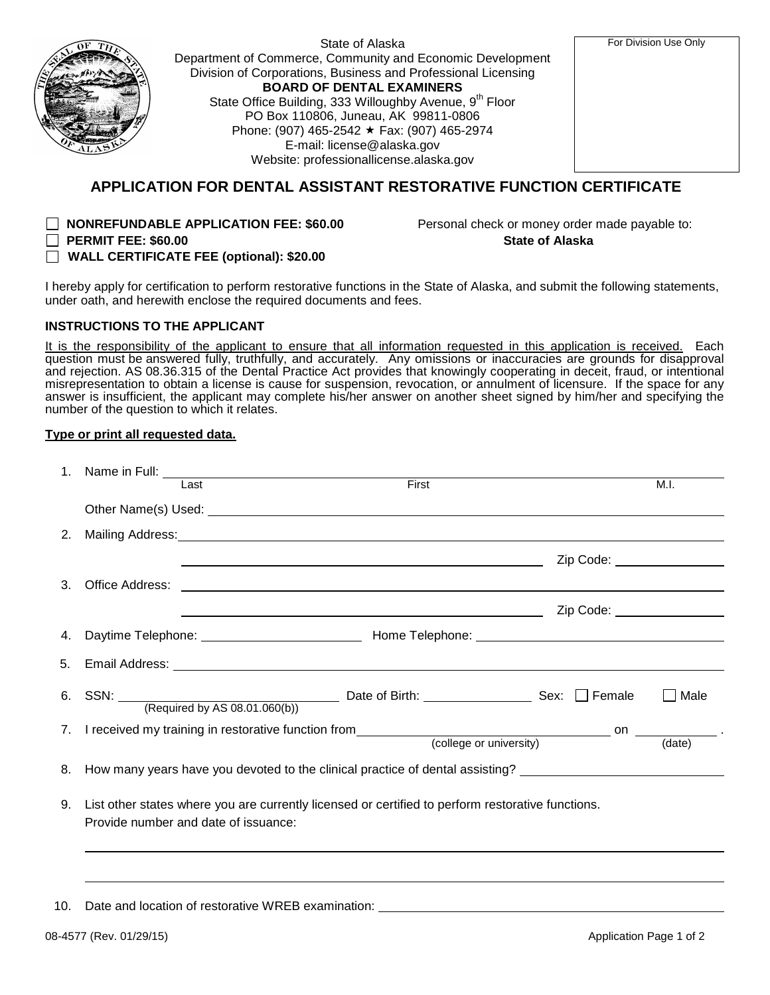| <b>THE</b> |
|------------|
|            |

State of Alaska Department of Commerce, Community and Economic Development Division of Corporations, Business and Professional Licensing **BOARD OF DENTAL EXAMINERS** State Office Building, 333 Willoughby Avenue, 9<sup>th</sup> Floor PO Box 110806, Juneau, AK 99811-0806 Phone: (907) 465-2542 ★ Fax: (907) 465-2974 E-mail: [license@alaska.gov](mailto:license@alaska.gov) Website: [professionallicense.alaska.gov](http://professionallicense.alaska.gov/) 

For Division Use Only

## **APPLICATION FOR DENTAL ASSISTANT RESTORATIVE FUNCTION CERTIFICATE**

 **PERMIT FEE: \$60.00 State of Alaska**

**NONREFUNDABLE APPLICATION FEE: \$60.00** Personal check or money order made payable to:

**WALL CERTIFICATE FEE (optional): \$20.00**

I hereby apply for certification to perform restorative functions in the State of Alaska, and submit the following statements, under oath, and herewith enclose the required documents and fees.

### **INSTRUCTIONS TO THE APPLICANT**

It is the responsibility of the applicant to ensure that all information requested in this application is received. Each question must be answered fully, truthfully, and accurately. Any omissions or inaccuracies are grounds for disapproval and rejection. AS 08.36.315 of the Dental Practice Act provides that knowingly cooperating in deceit, fraud, or intentional misrepresentation to obtain a license is cause for suspension, revocation, or annulment of licensure. If the space for any answer is insufficient, the applicant may complete his/her answer on another sheet signed by him/her and specifying the number of the question to which it relates.

### **Type or print all requested data.**

|    |                                                                                                                                           | Last<br>First                                                                                                                                                                                                                        | M.I.                      |  |  |  |
|----|-------------------------------------------------------------------------------------------------------------------------------------------|--------------------------------------------------------------------------------------------------------------------------------------------------------------------------------------------------------------------------------------|---------------------------|--|--|--|
|    |                                                                                                                                           |                                                                                                                                                                                                                                      |                           |  |  |  |
| 2. |                                                                                                                                           | Mailing Address: National Address: National Address: National Address: National Address: National Address: National Address: National Address: National Address: National Address: National Address: National Address: Nationa       |                           |  |  |  |
|    |                                                                                                                                           | Zip Code: __________________                                                                                                                                                                                                         |                           |  |  |  |
| 3. |                                                                                                                                           |                                                                                                                                                                                                                                      |                           |  |  |  |
|    |                                                                                                                                           | <u>in the contract of the contract of the contract of the contract of the contract of the contract of the contract of the contract of the contract of the contract of the contract of the contract of the contract of the contra</u> |                           |  |  |  |
|    |                                                                                                                                           |                                                                                                                                                                                                                                      |                           |  |  |  |
|    |                                                                                                                                           |                                                                                                                                                                                                                                      |                           |  |  |  |
|    |                                                                                                                                           | 6. SSN: $\frac{\qquad}{\qquad}$ Required by AS 08.01.060(b)) Date of Birth: $\qquad \qquad$ Sex: $\Box$ Female                                                                                                                       | Male                      |  |  |  |
|    |                                                                                                                                           |                                                                                                                                                                                                                                      |                           |  |  |  |
|    |                                                                                                                                           |                                                                                                                                                                                                                                      | $\frac{1}{\text{(date)}}$ |  |  |  |
| 8. | How many years have you devoted to the clinical practice of dental assisting? ______________________                                      |                                                                                                                                                                                                                                      |                           |  |  |  |
| 9. | List other states where you are currently licensed or certified to perform restorative functions.<br>Provide number and date of issuance: |                                                                                                                                                                                                                                      |                           |  |  |  |
|    |                                                                                                                                           |                                                                                                                                                                                                                                      |                           |  |  |  |
|    |                                                                                                                                           |                                                                                                                                                                                                                                      |                           |  |  |  |

10. Date and location of restorative WREB examination: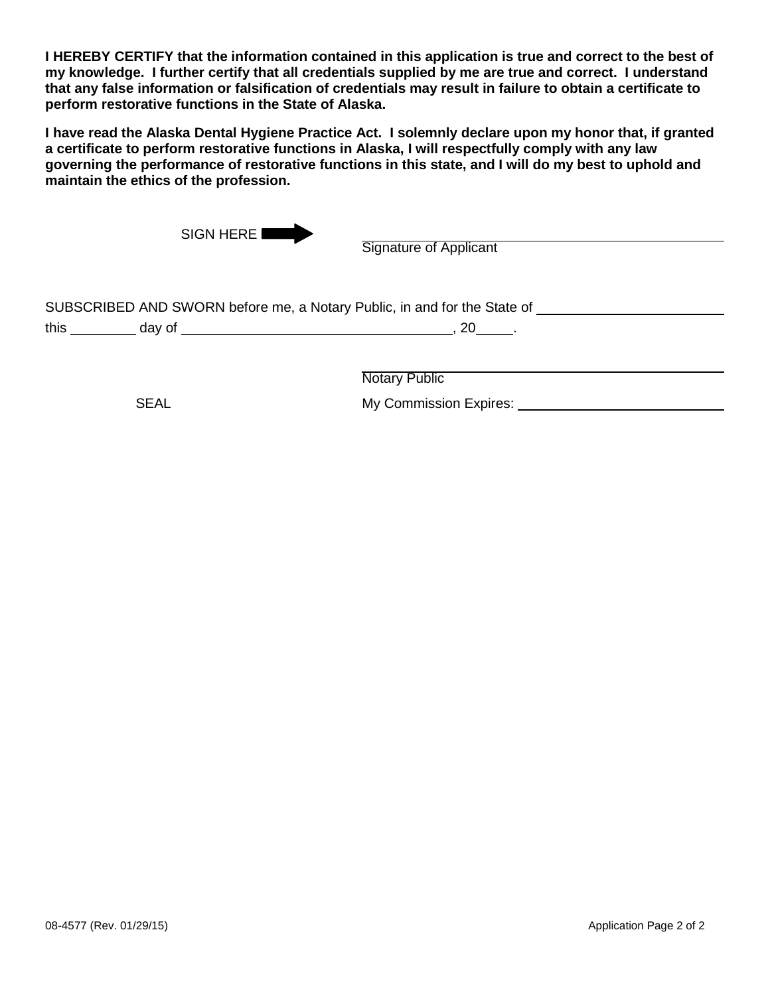**I HEREBY CERTIFY that the information contained in this application is true and correct to the best of my knowledge. I further certify that all credentials supplied by me are true and correct. I understand that any false information or falsification of credentials may result in failure to obtain a certificate to perform restorative functions in the State of Alaska.**

**I have read the Alaska Dental Hygiene Practice Act. I solemnly declare upon my honor that, if granted a certificate to perform restorative functions in Alaska, I will respectfully comply with any law governing the performance of restorative functions in this state, and I will do my best to uphold and maintain the ethics of the profession.**

| <b>Signature of Applicant</b> |                                                                                                               |
|-------------------------------|---------------------------------------------------------------------------------------------------------------|
|                               |                                                                                                               |
| $20$ .                        |                                                                                                               |
|                               |                                                                                                               |
|                               | SIGN HERE<br>SUBSCRIBED AND SWORN before me, a Notary Public, in and for the State of<br><b>Notary Public</b> |

SEAL My Commission Expires: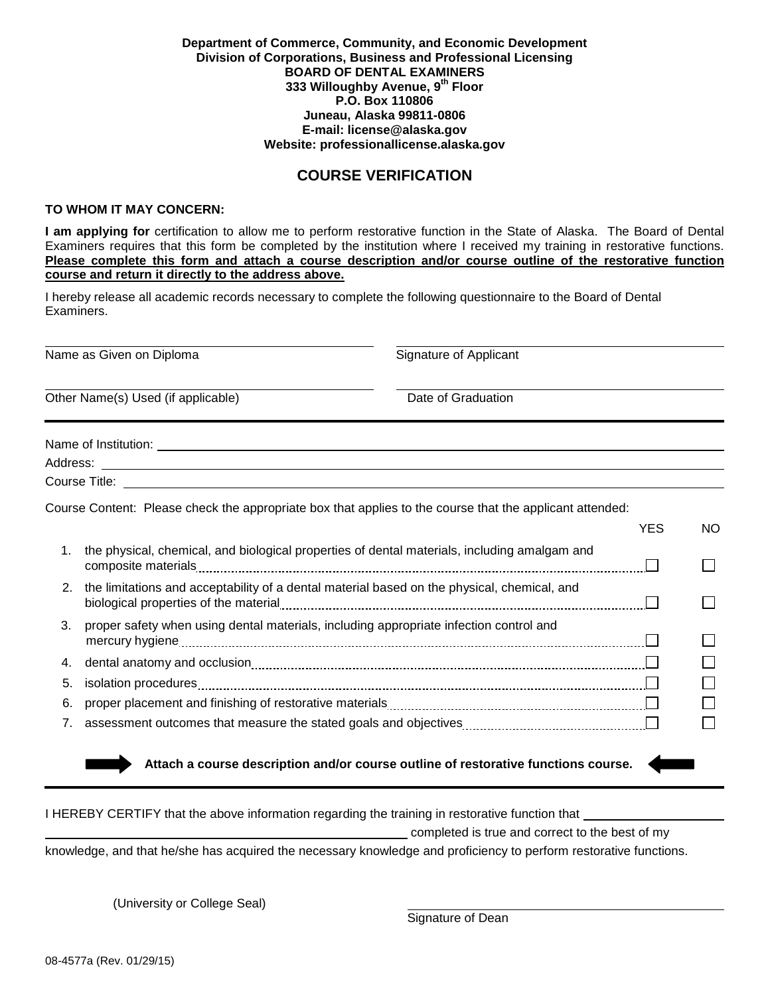### **Department of Commerce, Community, and Economic Development Division of Corporations, Business and Professional Licensing BOARD OF DENTAL EXAMINERS 333 Willoughby Avenue, 9th Floor P.O. Box 110806 Juneau, Alaska 99811-0806 E-mail: [license@alaska.gov](mailto:license@alaska.gov) Website: [professionallicense.alaska.gov](http://professionallicense.alaska.gov/)**

## **COURSE VERIFICATION**

### **TO WHOM IT MAY CONCERN:**

**I am applying for** certification to allow me to perform restorative function in the State of Alaska. The Board of Dental Examiners requires that this form be completed by the institution where I received my training in restorative functions. **Please complete this form and attach a course description and/or course outline of the restorative function course and return it directly to the address above.**

I hereby release all academic records necessary to complete the following questionnaire to the Board of Dental Examiners.

Name as Given on Diploma Signature of Applicant Other Name(s) Used (if applicable) **Date of Graduation** Date of Graduation Name of Institution:  $\blacksquare$ Address: Course Title: Course Content: Please check the appropriate box that applies to the course that the applicant attended: YES NO 1. the physical, chemical, and biological properties of dental materials, including amalgam and composite materials П 2. the limitations and acceptability of a dental material based on the physical, chemical, and biological properties of the material П 3. proper safety when using dental materials, including appropriate infection control and mercury hygiene П П 4. dental anatomy and occlusion 5. isolation procedures 6. proper placement and finishing of restorative materials П 7. assessment outcomes that measure the stated goals and objectives  **Attach a course description and/or course outline of restorative functions course.**

| I HEREBY CERTIFY that the above information regarding the training in restorative function that                   |  |  |  |
|-------------------------------------------------------------------------------------------------------------------|--|--|--|
| completed is true and correct to the best of my                                                                   |  |  |  |
| knowledge, and that he/she has acquired the necessary knowledge and proficiency to perform restorative functions. |  |  |  |

(University or College Seal)